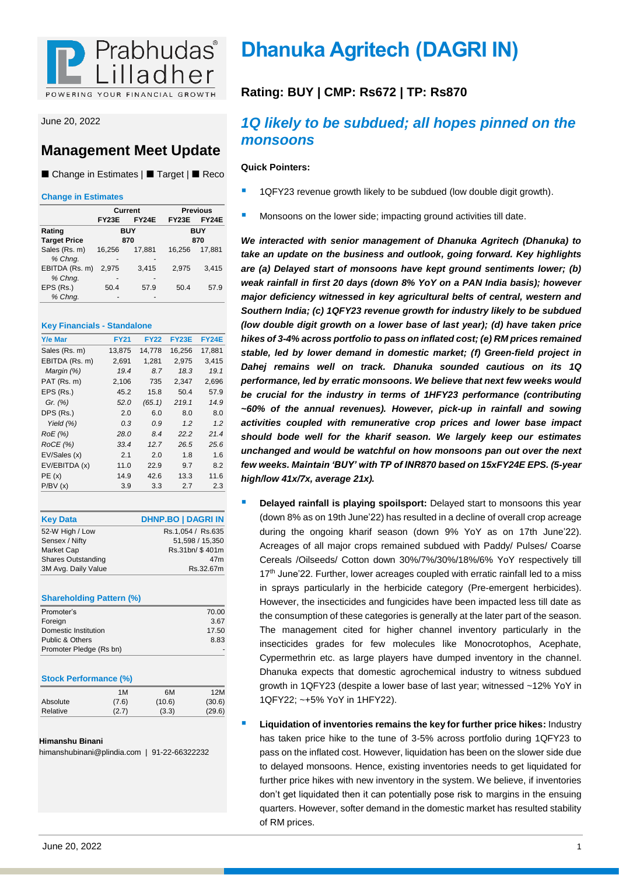

June 20, 2022

## **Management Meet Update**

■ Change in Estimates | ■ Target | ■ Reco

### **Change in Estimates**

|                     |              | Current      |              | <b>Previous</b> |
|---------------------|--------------|--------------|--------------|-----------------|
|                     | <b>FY23E</b> | <b>FY24E</b> | <b>FY23E</b> | <b>FY24E</b>    |
| Rating              |              | <b>BUY</b>   |              | BUY             |
| <b>Target Price</b> |              | 870          |              | 870             |
| Sales (Rs. m)       | 16,256       | 17,881       | 16.256       | 17.881          |
| % Chng.             | -            |              |              |                 |
| EBITDA (Rs. m)      | 2.975        | 3,415        | 2.975        | 3,415           |
| % Chng.             |              |              |              |                 |
| EPS (Rs.)           | 50.4         | 57.9         | 50.4         | 57.9            |
| % Chng.             |              |              |              |                 |

### **Key Financials - Standalone**

| <b>Y/e Mar</b> | <b>FY21</b> | <b>FY22</b> | FY23E  | <b>FY24E</b> |
|----------------|-------------|-------------|--------|--------------|
| Sales (Rs. m)  | 13,875      | 14,778      | 16,256 | 17,881       |
| EBITDA (Rs. m) | 2,691       | 1,281       | 2,975  | 3,415        |
| Margin (%)     | 19.4        | 8.7         | 18.3   | 19.1         |
| PAT (Rs. m)    | 2,106       | 735         | 2,347  | 2,696        |
| EPS (Rs.)      | 45.2        | 15.8        | 50.4   | 57.9         |
| Gr. $(%)$      | 52.0        | (65.1)      | 219.1  | 14.9         |
| DPS (Rs.)      | 2.0         | 6.0         | 8.0    | 8.0          |
| Yield $(\%)$   | 0.3         | 0.9         | 1.2    | 1.2          |
| RoE (%)        | 28.0        | 8.4         | 22.2   | 21.4         |
| ROCE(%)        | 33.4        | 12.7        | 26.5   | 25.6         |
| EV/Sales (x)   | 2.1         | 2.0         | 1.8    | 1.6          |
| EV/EBITDA (x)  | 11.0        | 22.9        | 9.7    | 8.2          |
| PE(x)          | 14.9        | 42.6        | 13.3   | 11.6         |
| P/BV(x)        | 3.9         | 3.3         | 2.7    | 2.3          |
|                |             |             |        |              |

| <b>Key Data</b>           | <b>DHNP.BO   DAGRI IN</b> |
|---------------------------|---------------------------|
| 52-W High / Low           | Rs.1,054 / Rs.635         |
| Sensex / Nifty            | 51,598 / 15,350           |
| Market Cap                | Rs.31bn/ \$401m           |
| <b>Shares Outstanding</b> | 47m                       |
| 3M Avg. Daily Value       | Rs.32.67m                 |

### **Shareholding Pattern (%)**

| Promoter's              | 70.00 |
|-------------------------|-------|
| Foreign                 | 3.67  |
| Domestic Institution    | 17.50 |
| Public & Others         | 8.83  |
| Promoter Pledge (Rs bn) |       |

### **Stock Performance (%)**

|          | 1M    | 6M     | 12M    |
|----------|-------|--------|--------|
| Absolute | (7.6) | (10.6) | (30.6) |
| Relative | (2.7) | (3.3)  | (29.6) |

### **Himanshu Binani**

himanshubinani@plindia.com | 91-22-66322232

# **Dhanuka Agritech (DAGRI IN)**

### **Rating: BUY | CMP: Rs672 | TP: Rs870**

### *1Q likely to be subdued; all hopes pinned on the monsoons*

### **Quick Pointers:**

- 1QFY23 revenue growth likely to be subdued (low double digit growth).
- Monsoons on the lower side; impacting ground activities till date.

*We interacted with senior management of Dhanuka Agritech (Dhanuka) to take an update on the business and outlook, going forward. Key highlights are (a) Delayed start of monsoons have kept ground sentiments lower; (b) weak rainfall in first 20 days (down 8% YoY on a PAN India basis); however major deficiency witnessed in key agricultural belts of central, western and Southern India; (c) 1QFY23 revenue growth for industry likely to be subdued (low double digit growth on a lower base of last year); (d) have taken price hikes of 3-4% across portfolio to pass on inflated cost; (e) RM prices remained stable, led by lower demand in domestic market; (f) Green-field project in Dahej remains well on track. Dhanuka sounded cautious on its 1Q performance, led by erratic monsoons. We believe that next few weeks would be crucial for the industry in terms of 1HFY23 performance (contributing ~60% of the annual revenues). However, pick-up in rainfall and sowing activities coupled with remunerative crop prices and lower base impact should bode well for the kharif season. We largely keep our estimates unchanged and would be watchful on how monsoons pan out over the next few weeks. Maintain 'BUY' with TP of INR870 based on 15xFY24E EPS. (5-year high/low 41x/7x, average 21x).*

- **Delayed rainfall is playing spoilsport:** Delayed start to monsoons this year (down 8% as on 19th June'22) has resulted in a decline of overall crop acreage during the ongoing kharif season (down 9% YoY as on 17th June'22). Acreages of all major crops remained subdued with Paddy/ Pulses/ Coarse Cereals /Oilseeds/ Cotton down 30%/7%/30%/18%/6% YoY respectively till 17<sup>th</sup> June'22. Further, lower acreages coupled with erratic rainfall led to a miss in sprays particularly in the herbicide category (Pre-emergent herbicides). However, the insecticides and fungicides have been impacted less till date as the consumption of these categories is generally at the later part of the season. The management cited for higher channel inventory particularly in the insecticides grades for few molecules like Monocrotophos, Acephate, Cypermethrin etc. as large players have dumped inventory in the channel. Dhanuka expects that domestic agrochemical industry to witness subdued growth in 1QFY23 (despite a lower base of last year; witnessed ~12% YoY in 1QFY22; ~+5% YoY in 1HFY22).
- **Liquidation of inventories remains the key for further price hikes:** Industry has taken price hike to the tune of 3-5% across portfolio during 1QFY23 to pass on the inflated cost. However, liquidation has been on the slower side due to delayed monsoons. Hence, existing inventories needs to get liquidated for further price hikes with new inventory in the system. We believe, if inventories don't get liquidated then it can potentially pose risk to margins in the ensuing quarters. However, softer demand in the domestic market has resulted stability of RM prices.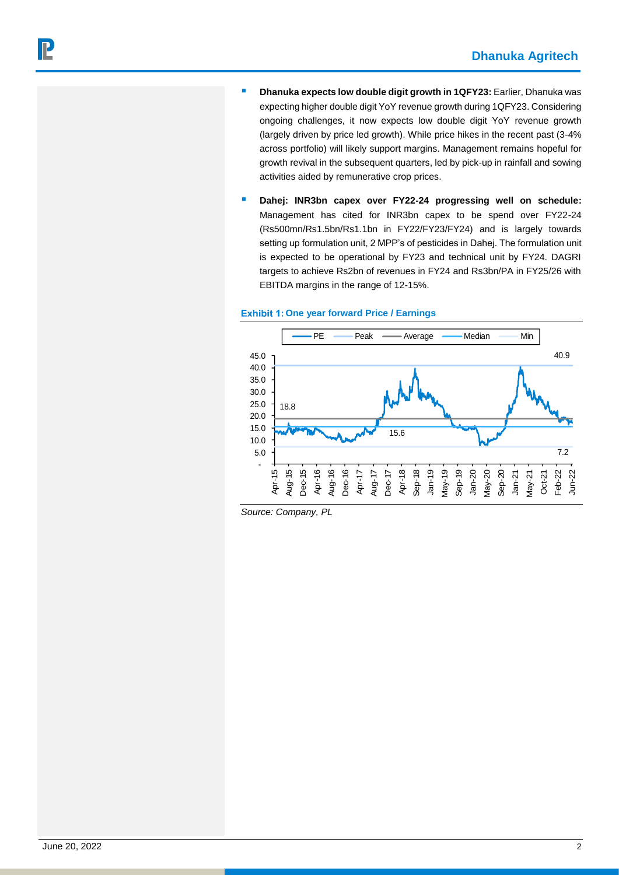- **Dhanuka expects low double digit growth in 1QFY23: Earlier, Dhanuka was** expecting higher double digit YoY revenue growth during 1QFY23. Considering ongoing challenges, it now expects low double digit YoY revenue growth (largely driven by price led growth). While price hikes in the recent past (3-4% across portfolio) will likely support margins. Management remains hopeful for growth revival in the subsequent quarters, led by pick-up in rainfall and sowing activities aided by remunerative crop prices.
- **Dahej: INR3bn capex over FY22-24 progressing well on schedule:**  Management has cited for INR3bn capex to be spend over FY22-24 (Rs500mn/Rs1.5bn/Rs1.1bn in FY22/FY23/FY24) and is largely towards setting up formulation unit, 2 MPP's of pesticides in Dahej. The formulation unit is expected to be operational by FY23 and technical unit by FY24. DAGRI targets to achieve Rs2bn of revenues in FY24 and Rs3bn/PA in FY25/26 with EBITDA margins in the range of 12-15%.

### **Exhibit 1: One year forward Price / Earnings**



*Source: Company, PL*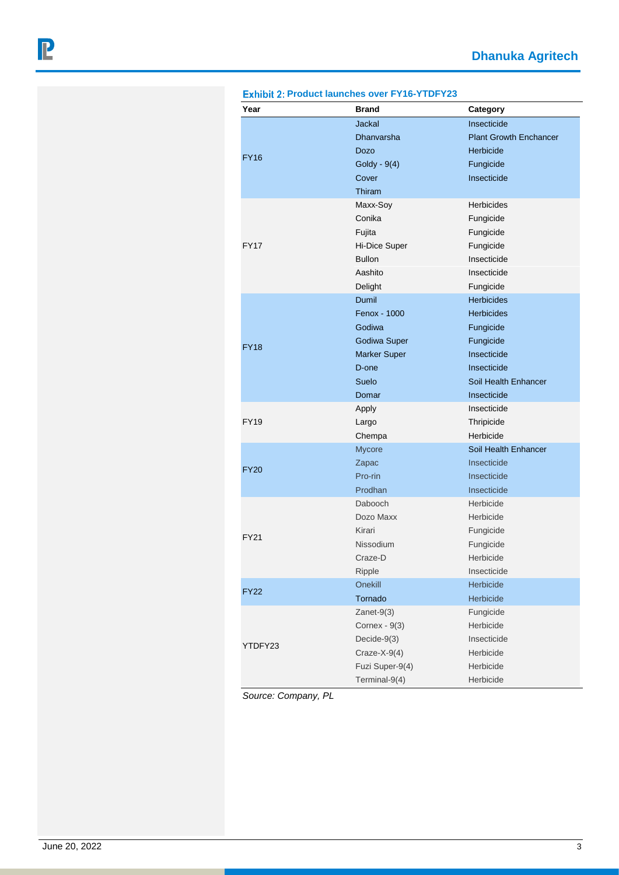|             |                     | Category                      |
|-------------|---------------------|-------------------------------|
|             | <b>Jackal</b>       | Insecticide                   |
|             | Dhanvarsha          | <b>Plant Growth Enchancer</b> |
| <b>FY16</b> | Dozo                | Herbicide                     |
|             | Goldy - 9(4)        | Fungicide                     |
|             | Cover               | Insecticide                   |
|             | Thiram              |                               |
|             | Maxx-Soy            | <b>Herbicides</b>             |
|             | Conika              | Fungicide                     |
|             | Fujita              | Fungicide                     |
| <b>FY17</b> | Hi-Dice Super       | Fungicide                     |
|             | <b>Bullon</b>       | Insecticide                   |
|             | Aashito             | Insecticide                   |
|             | Delight             | Fungicide                     |
|             | Dumil               | <b>Herbicides</b>             |
|             | Fenox - 1000        | <b>Herbicides</b>             |
|             | Godiwa              | Fungicide                     |
|             | Godiwa Super        | Fungicide                     |
| <b>FY18</b> | <b>Marker Super</b> | Insecticide                   |
|             | D-one               | Insecticide                   |
|             | Suelo               | Soil Health Enhancer          |
|             | Domar               | Insecticide                   |
|             | Apply               | Insecticide                   |
| <b>FY19</b> | Largo               | Thripicide                    |
|             | Chempa              | Herbicide                     |
|             | <b>Mycore</b>       | Soil Health Enhancer          |
|             | Zapac               | Insecticide                   |
| <b>FY20</b> | Pro-rin             | Insecticide                   |
|             | Prodhan             | Insecticide                   |
|             | Dabooch             | Herbicide                     |
|             | Dozo Maxx           | Herbicide                     |
|             | Kirari              | Fungicide                     |
| <b>FY21</b> | Nissodium           | Fungicide                     |
|             | Craze-D             | Herbicide                     |
|             | Ripple              | Insecticide                   |
|             | Onekill             | Herbicide                     |
| <b>FY22</b> | Tornado             | Herbicide                     |
|             | $Zanet-9(3)$        | Fungicide                     |
|             | Cornex - 9(3)       | Herbicide                     |
|             | Decide-9(3)         | Insecticide                   |
| YTDFY23     | $Craze-X-9(4)$      | Herbicide                     |
|             | Fuzi Super-9(4)     | Herbicide                     |
|             |                     |                               |

**Exhibit 2: Product launches over FY16-YTDFY23** 

*Source: Company, PL*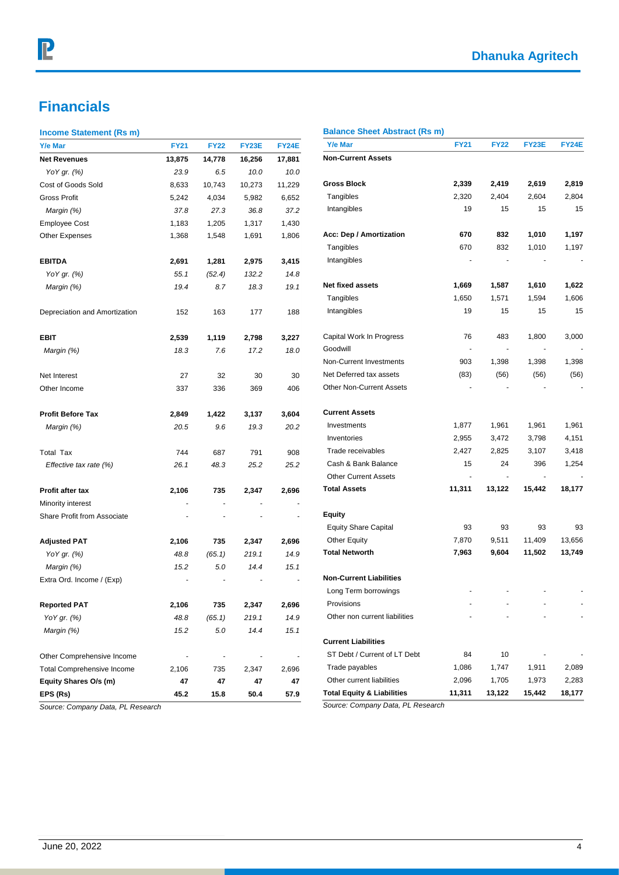# **Dhanuka Agritech**

# **Financials**

### **Income Statement (Rs m)**

| Y/e Mar                           | <b>FY21</b> | <b>FY22</b>              | FY23E  | <b>FY24E</b>   | Y/e Mar                               | <b>FY21</b>              | <b>FY22</b>              | <b>FY23E</b> | <b>FY24E</b> |
|-----------------------------------|-------------|--------------------------|--------|----------------|---------------------------------------|--------------------------|--------------------------|--------------|--------------|
| <b>Net Revenues</b>               | 13,875      | 14,778                   | 16,256 | 17,881         | <b>Non-Current Assets</b>             |                          |                          |              |              |
| YoY gr. (%)                       | 23.9        | 6.5                      | 10.0   | 10.0           |                                       |                          |                          |              |              |
| Cost of Goods Sold                | 8,633       | 10,743                   | 10,273 | 11,229         | <b>Gross Block</b>                    | 2,339                    | 2,419                    | 2,619        | 2,819        |
| Gross Profit                      | 5,242       | 4,034                    | 5,982  | 6,652          | Tangibles                             | 2,320                    | 2,404                    | 2,604        | 2,804        |
| Margin (%)                        | 37.8        | 27.3                     | 36.8   | 37.2           | Intangibles                           | 19                       | 15                       | 15           | 15           |
| <b>Employee Cost</b>              | 1,183       | 1,205                    | 1,317  | 1,430          |                                       |                          |                          |              |              |
| Other Expenses                    | 1,368       | 1,548                    | 1,691  | 1,806          | Acc: Dep / Amortization               | 670                      | 832                      | 1,010        | 1,197        |
|                                   |             |                          |        |                | Tangibles                             | 670                      | 832                      | 1,010        | 1,197        |
| <b>EBITDA</b>                     | 2,691       | 1,281                    | 2,975  | 3,415          | Intangibles                           |                          |                          |              |              |
| YoY gr. (%)                       | 55.1        | (52.4)                   | 132.2  | 14.8           |                                       |                          |                          |              |              |
| Margin (%)                        | 19.4        | 8.7                      | 18.3   | 19.1           | Net fixed assets                      | 1,669                    | 1,587                    | 1,610        | 1,622        |
|                                   |             |                          |        |                | Tangibles                             | 1,650                    | 1,571                    | 1,594        | 1,606        |
| Depreciation and Amortization     | 152         | 163                      | 177    | 188            | Intangibles                           | 19                       | 15                       | 15           | 15           |
| EBIT                              | 2,539       | 1,119                    | 2,798  | 3,227          | Capital Work In Progress              | 76                       | 483                      | 1,800        | 3,000        |
| Margin (%)                        | 18.3        | 7.6                      | 17.2   | 18.0           | Goodwill                              | $\overline{\phantom{a}}$ |                          |              |              |
|                                   |             |                          |        |                | Non-Current Investments               | 903                      | 1,398                    | 1,398        | 1,398        |
| Net Interest                      | 27          | 32                       | 30     | 30             | Net Deferred tax assets               | (83)                     | (56)                     | (56)         | (56)         |
| Other Income                      | 337         | 336                      | 369    | 406            | <b>Other Non-Current Assets</b>       |                          |                          |              |              |
| <b>Profit Before Tax</b>          | 2,849       | 1,422                    | 3,137  | 3,604          | <b>Current Assets</b>                 |                          |                          |              |              |
| Margin (%)                        | 20.5        | 9.6                      | 19.3   | 20.2           | Investments                           | 1,877                    | 1,961                    | 1,961        | 1,961        |
|                                   |             |                          |        |                | Inventories                           | 2,955                    | 3,472                    | 3,798        | 4,151        |
| <b>Total Tax</b>                  | 744         | 687                      | 791    | 908            | Trade receivables                     | 2,427                    | 2,825                    | 3,107        | 3,418        |
| Effective tax rate (%)            | 26.1        | 48.3                     | 25.2   | 25.2           | Cash & Bank Balance                   | 15                       | 24                       | 396          | 1,254        |
|                                   |             |                          |        |                | <b>Other Current Assets</b>           | $\blacksquare$           | $\overline{\phantom{a}}$ |              |              |
| Profit after tax                  | 2,106       | 735                      | 2,347  | 2,696          | <b>Total Assets</b>                   | 11,311                   | 13,122                   | 15,442       | 18,177       |
| Minority interest                 |             |                          |        |                |                                       |                          |                          |              |              |
| Share Profit from Associate       |             |                          |        |                | <b>Equity</b>                         |                          |                          |              |              |
|                                   |             |                          |        |                | <b>Equity Share Capital</b>           | 93                       | 93                       | 93           | 93           |
| <b>Adjusted PAT</b>               | 2,106       | 735                      | 2,347  | 2,696          | <b>Other Equity</b>                   | 7,870                    | 9,511                    | 11,409       | 13,656       |
| YoY gr. (%)                       | 48.8        | (65.1)                   | 219.1  | 14.9           | <b>Total Networth</b>                 | 7,963                    | 9,604                    | 11,502       | 13,749       |
| Margin (%)                        | 15.2        | 5.0                      | 14.4   | 15.1           |                                       |                          |                          |              |              |
| Extra Ord. Income / (Exp)         |             |                          |        |                | <b>Non-Current Liabilities</b>        |                          |                          |              |              |
|                                   |             |                          |        |                | Long Term borrowings                  |                          |                          |              |              |
| Reported PAT                      | 2,106       | 735                      | 2,347  | 2,696          | Provisions                            |                          |                          |              |              |
| YoY gr. (%)                       | 48.8        | (65.1)                   | 219.1  | 14.9           | Other non current liabilities         |                          |                          |              |              |
| Margin (%)                        | 15.2        | 5.0                      | 14.4   | 15.1           |                                       |                          |                          |              |              |
|                                   |             |                          |        |                | <b>Current Liabilities</b>            |                          |                          |              |              |
| Other Comprehensive Income        |             | $\overline{\phantom{a}}$ |        | $\overline{a}$ | ST Debt / Current of LT Debt          | 84                       | 10                       |              |              |
| <b>Total Comprehensive Income</b> | 2,106       | 735                      | 2,347  | 2,696          | Trade payables                        | 1,086                    | 1,747                    | 1,911        | 2,089        |
| Equity Shares O/s (m)             | 47          | 47                       | 47     | 47             | Other current liabilities             | 2,096                    | 1,705                    | 1,973        | 2,283        |
| EPS (Rs)                          | 45.2        | 15.8                     | 50.4   | 57.9           | <b>Total Equity &amp; Liabilities</b> | 11,311                   | 13,122                   | 15,442       | 18,177       |

*Source: Company Data, PL Research*

### **Balance Sheet Abstract (Rs m)**

*Source: Company Data, PL Research*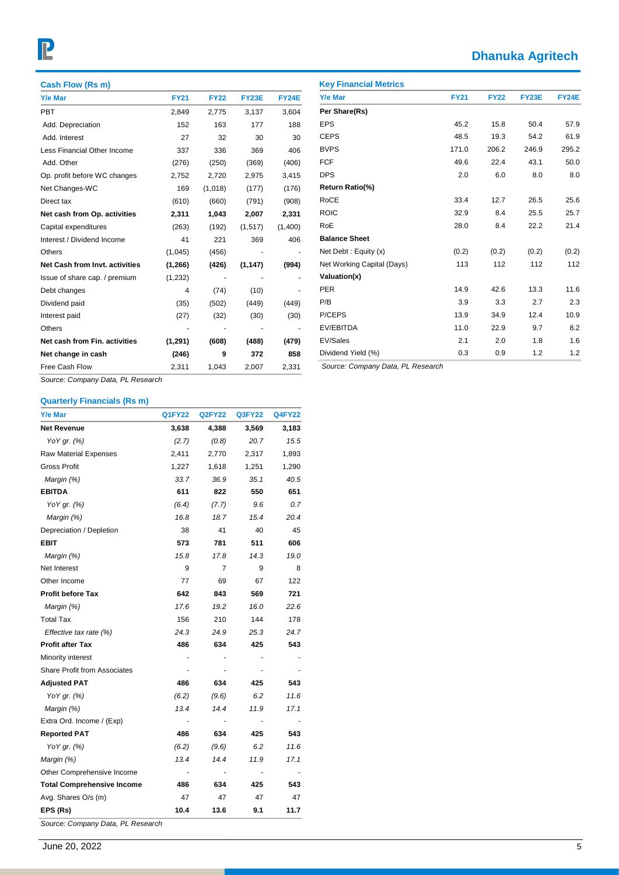# P

# **Dhanuka Agritech**

| Cash Flow (Rs m)               |             |             |              |              |
|--------------------------------|-------------|-------------|--------------|--------------|
| <b>Y/e Mar</b>                 | <b>FY21</b> | <b>FY22</b> | <b>FY23E</b> | <b>FY24E</b> |
| <b>PBT</b>                     | 2,849       | 2,775       | 3,137        | 3,604        |
| Add. Depreciation              | 152         | 163         | 177          | 188          |
| Add. Interest                  | 27          | 32          | 30           | 30           |
| Less Financial Other Income    | 337         | 336         | 369          | 406          |
| Add. Other                     | (276)       | (250)       | (369)        | (406)        |
| Op. profit before WC changes   | 2,752       | 2,720       | 2,975        | 3,415        |
| Net Changes-WC                 | 169         | (1,018)     | (177)        | (176)        |
| Direct tax                     | (610)       | (660)       | (791)        | (908)        |
| Net cash from Op. activities   | 2,311       | 1,043       | 2,007        | 2,331        |
| Capital expenditures           | (263)       | (192)       | (1, 517)     | (1,400)      |
| Interest / Dividend Income     | 41          | 221         | 369          | 406          |
| Others                         | (1,045)     | (456)       |              |              |
| Net Cash from Invt. activities | (1, 266)    | (426)       | (1, 147)     | (994)        |
| Issue of share cap. / premium  | (1,232)     |             |              |              |
| Debt changes                   | 4           | (74)        | (10)         |              |
| Dividend paid                  | (35)        | (502)       | (449)        | (449)        |
| Interest paid                  | (27)        | (32)        | (30)         | (30)         |
| <b>Others</b>                  |             |             |              |              |
| Net cash from Fin. activities  | (1,291)     | (608)       | (488)        | (479)        |
| Net change in cash             | (246)       | 9           | 372          | 858          |
| Free Cash Flow                 | 2,311       | 1,043       | 2,007        | 2,331        |

| <b>Y/e Mar</b>             | <b>FY21</b> | <b>FY22</b> | <b>FY23E</b> | FY24E |
|----------------------------|-------------|-------------|--------------|-------|
| Per Share(Rs)              |             |             |              |       |
| <b>EPS</b>                 | 45.2        | 15.8        | 50.4         | 57.9  |
| <b>CEPS</b>                | 48.5        | 19.3        | 54.2         | 61.9  |
| <b>BVPS</b>                | 171.0       | 206.2       | 246.9        | 295.2 |
| <b>FCF</b>                 | 49.6        | 22.4        | 43.1         | 50.0  |
| <b>DPS</b>                 | 2.0         | 6.0         | 8.0          | 8.0   |
| Return Ratio(%)            |             |             |              |       |
| <b>RoCE</b>                | 33.4        | 12.7        | 26.5         | 25.6  |
| <b>ROIC</b>                | 32.9        | 8.4         | 25.5         | 25.7  |
| RoE                        | 28.0        | 8.4         | 22.2         | 21.4  |
| <b>Balance Sheet</b>       |             |             |              |       |
| Net Debt: Equity (x)       | (0.2)       | (0.2)       | (0.2)        | (0.2) |
| Net Working Capital (Days) | 113         | 112         | 112          | 112   |
| Valuation(x)               |             |             |              |       |
| <b>PER</b>                 | 14.9        | 42.6        | 13.3         | 11.6  |
| P/B                        | 3.9         | 3.3         | 2.7          | 2.3   |
| P/CEPS                     | 13.9        | 34.9        | 12.4         | 10.9  |
| EV/EBITDA                  | 11.0        | 22.9        | 9.7          | 8.2   |
| EV/Sales                   | 2.1         | 2.0         | 1.8          | 1.6   |
| Dividend Yield (%)         | 0.3         | 0.9         | 1.2          | 1.2   |

*Source: Company Data, PL Research*

### **Quarterly Financials (Rs m)**

| Y/e Mar                             | <b>Q1FY22</b> | <b>Q2FY22</b> | <b>Q3FY22</b> | <b>Q4FY22</b> |
|-------------------------------------|---------------|---------------|---------------|---------------|
| <b>Net Revenue</b>                  | 3,638         | 4,388         | 3,569         | 3,183         |
| YoY gr. (%)                         | (2.7)         | (0.8)         | 20.7          | 15.5          |
| <b>Raw Material Expenses</b>        | 2,411         | 2,770         | 2,317         | 1,893         |
| <b>Gross Profit</b>                 | 1,227         | 1,618         | 1,251         | 1,290         |
| Margin (%)                          | 33.7          | 36.9          | 35.1          | 40.5          |
| <b>EBITDA</b>                       | 611           | 822           | 550           | 651           |
| YoY gr. (%)                         | (6.4)         | (7.7)         | 9.6           | 0.7           |
| Margin (%)                          | 16.8          | 18.7          | 15.4          | 20.4          |
| Depreciation / Depletion            | 38            | 41            | 40            | 45            |
| <b>EBIT</b>                         | 573           | 781           | 511           | 606           |
| Margin (%)                          | 15.8          | 17.8          | 14.3          | 19.0          |
| Net Interest                        | 9             | 7             | 9             | 8             |
| Other Income                        | 77            | 69            | 67            | 122           |
| <b>Profit before Tax</b>            | 642           | 843           | 569           | 721           |
| Margin (%)                          | 17.6          | 19.2          | 16.0          | 22.6          |
| <b>Total Tax</b>                    | 156           | 210           | 144           | 178           |
| Effective tax rate $(%)$            | 24.3          | 24.9          | 25.3          | 24.7          |
| <b>Profit after Tax</b>             | 486           | 634           | 425           | 543           |
| Minority interest                   |               |               |               |               |
| <b>Share Profit from Associates</b> |               |               |               |               |
| <b>Adjusted PAT</b>                 | 486           | 634           | 425           | 543           |
| YoY gr. (%)                         | (6.2)         | (9.6)         | 6.2           | 11.6          |
| Margin (%)                          | 13.4          | 14.4          | 11.9          | 17.1          |
| Extra Ord. Income / (Exp)           |               |               |               |               |
| <b>Reported PAT</b>                 | 486           | 634           | 425           | 543           |
| YoY gr. (%)                         | (6.2)         | (9.6)         | 6.2           | 11.6          |
| Margin (%)                          | 13.4          | 14.4          | 11.9          | 17.1          |
| Other Comprehensive Income          |               |               |               |               |
| <b>Total Comprehensive Income</b>   | 486           | 634           | 425           | 543           |
| Avg. Shares O/s (m)                 | 47            | 47            | 47            | 47            |
| EPS (Rs)                            | 10.4          | 13.6          | 9.1           | 11.7          |
| Source: Company Data, PL Research   |               |               |               |               |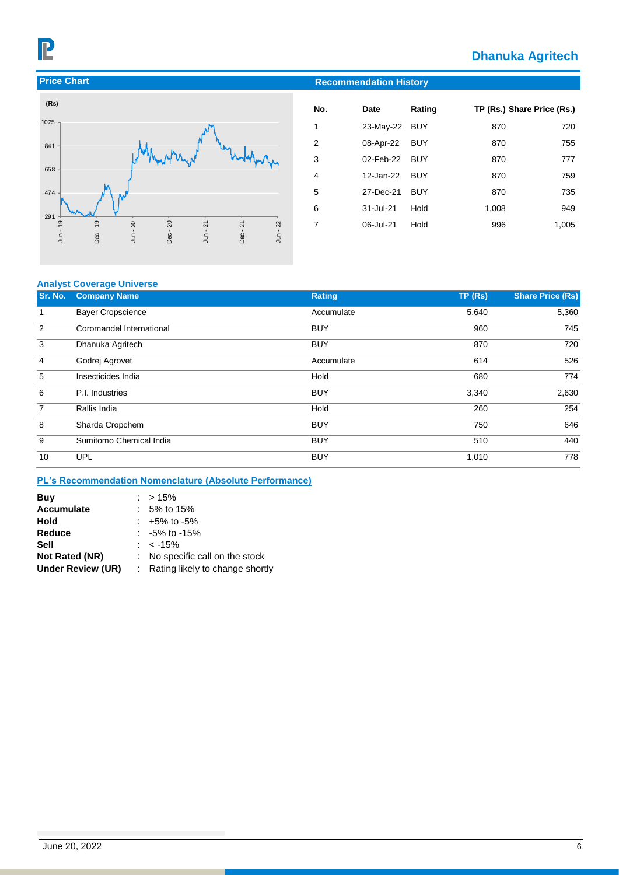# **Dhanuka Agritech**



| (Rs)                        |            |            |            |        |            |
|-----------------------------|------------|------------|------------|--------|------------|
| 1025                        |            |            |            |        |            |
| 841                         |            |            |            |        |            |
| 658                         |            |            |            |        | ym Yn      |
| 474                         |            |            |            |        |            |
| 291<br>Dec-19<br>$Jun - 19$ | $Jun - 20$ | $Dec - 20$ | $Jun - 21$ | Dec-21 | $Jun - 22$ |

| No. | Date          | Rating     |       | TP (Rs.) Share Price (Rs.) |
|-----|---------------|------------|-------|----------------------------|
| 1   | 23-May-22 BUY |            | 870   | 720                        |
| 2   | 08-Apr-22     | <b>BUY</b> | 870   | 755                        |
| 3   | 02-Feb-22 BUY |            | 870   | 777                        |
| 4   | 12-Jan-22     | BUY        | 870   | 759                        |
| 5   | 27-Dec-21     | BUY        | 870   | 735                        |
| 6   | 31-Jul-21     | Hold       | 1,008 | 949                        |
| 7   | 06-Jul-21     | Hold       | 996   | 1,005                      |

### **Analyst Coverage Universe**

| Sr. No.        | <b>Company Name</b>      | Rating     | TP(Rs) | <b>Share Price (Rs)</b> |
|----------------|--------------------------|------------|--------|-------------------------|
| 1              | <b>Bayer Cropscience</b> | Accumulate | 5,640  | 5,360                   |
| 2              | Coromandel International | <b>BUY</b> | 960    | 745                     |
| 3              | Dhanuka Agritech         | <b>BUY</b> | 870    | 720                     |
| $\overline{4}$ | Godrej Agrovet           | Accumulate | 614    | 526                     |
| 5              | Insecticides India       | Hold       | 680    | 774                     |
| 6              | P.I. Industries          | <b>BUY</b> | 3,340  | 2,630                   |
| 7              | Rallis India             | Hold       | 260    | 254                     |
| 8              | Sharda Cropchem          | <b>BUY</b> | 750    | 646                     |
| 9              | Sumitomo Chemical India  | <b>BUY</b> | 510    | 440                     |
| 10             | <b>UPL</b>               | <b>BUY</b> | 1,010  | 778                     |

### **PL's Recommendation Nomenclature (Absolute Performance)**

| Buy               | $:$ > 15%                         |
|-------------------|-----------------------------------|
| <b>Accumulate</b> | $: 5\%$ to 15%                    |
| Hold              | $: +5\%$ to -5%                   |
| Reduce            | $: -5\%$ to -15%                  |
| Sell              | $: 5\%$                           |
| Not Rated (NR)    | : No specific call on the stock   |
| Under Review (UR) | : Rating likely to change shortly |
|                   |                                   |